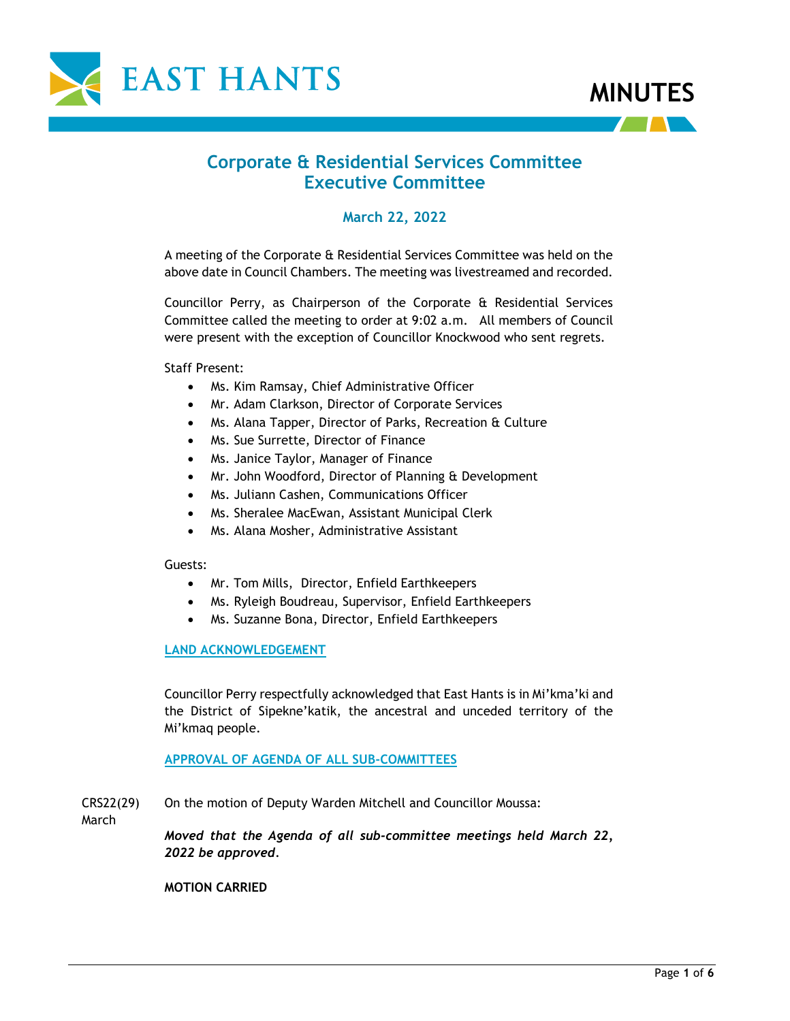



# **Corporate & Residential Services Committee Executive Committee**

# **March 22, 2022**

A meeting of the Corporate & Residential Services Committee was held on the above date in Council Chambers. The meeting was livestreamed and recorded.

Councillor Perry, as Chairperson of the Corporate & Residential Services Committee called the meeting to order at 9:02 a.m. All members of Council were present with the exception of Councillor Knockwood who sent regrets.

Staff Present:

- Ms. Kim Ramsay, Chief Administrative Officer
- Mr. Adam Clarkson, Director of Corporate Services
- Ms. Alana Tapper, Director of Parks, Recreation & Culture
- Ms. Sue Surrette, Director of Finance
- Ms. Janice Taylor, Manager of Finance
- Mr. John Woodford, Director of Planning & Development
- Ms. Juliann Cashen, Communications Officer
- Ms. Sheralee MacEwan, Assistant Municipal Clerk
- Ms. Alana Mosher, Administrative Assistant

#### Guests:

- Mr. Tom Mills, Director, Enfield Earthkeepers
- Ms. Ryleigh Boudreau, Supervisor, Enfield Earthkeepers
- Ms. Suzanne Bona, Director, Enfield Earthkeepers

#### **LAND ACKNOWLEDGEMENT**

Councillor Perry respectfully acknowledged that East Hants is in Mi'kma'ki and the District of Sipekne'katik, the ancestral and unceded territory of the Mi'kmaq people.

**APPROVAL OF AGENDA OF ALL SUB-COMMITTEES**

CRS22(29) On the motion of Deputy Warden Mitchell and Councillor Moussa:

March

*Moved that the Agenda of all sub-committee meetings held March 22, 2022 be approved.*

**MOTION CARRIED**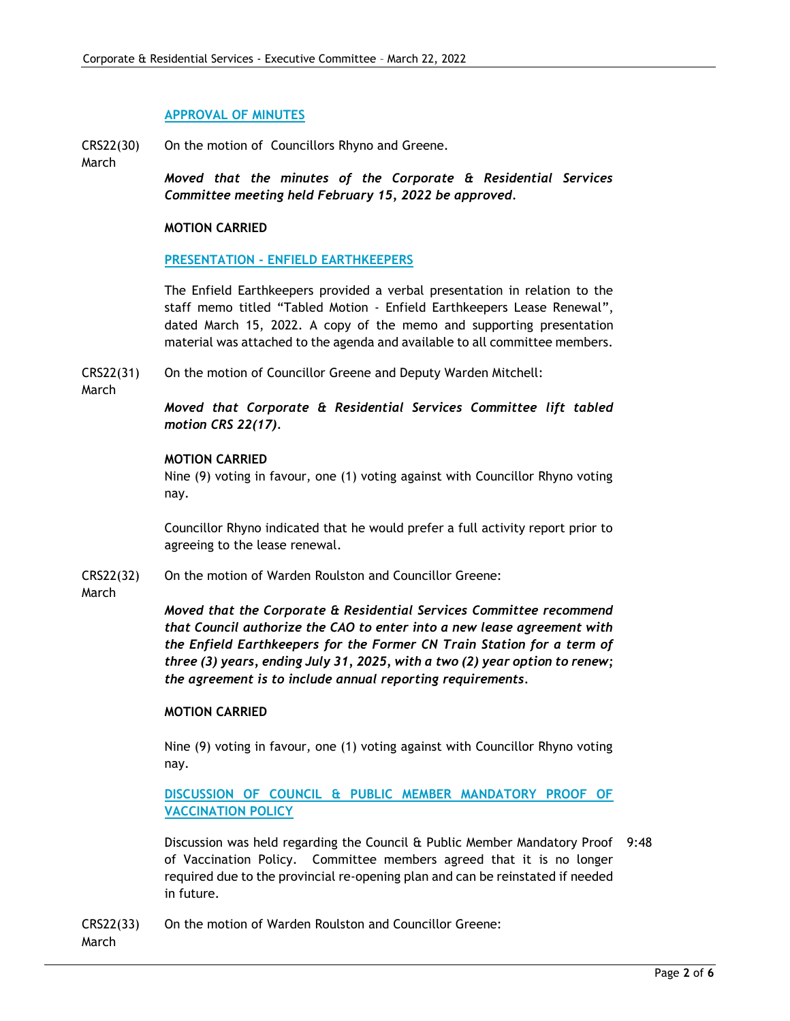#### **APPROVAL OF MINUTES**

CRS22(30) On the motion of Councillors Rhyno and Greene.

March *Moved that the minutes of the Corporate & Residential Services Committee meeting held February 15, 2022 be approved.*

#### **MOTION CARRIED**

### **PRESENTATION - ENFIELD EARTHKEEPERS**

The Enfield Earthkeepers provided a verbal presentation in relation to the staff memo titled "Tabled Motion - Enfield Earthkeepers Lease Renewal", dated March 15, 2022. A copy of the memo and supporting presentation material was attached to the agenda and available to all committee members.

CRS22(31) On the motion of Councillor Greene and Deputy Warden Mitchell:

March

*Moved that Corporate & Residential Services Committee lift tabled motion CRS 22(17).*

### **MOTION CARRIED**

Nine (9) voting in favour, one (1) voting against with Councillor Rhyno voting nay.

Councillor Rhyno indicated that he would prefer a full activity report prior to agreeing to the lease renewal.

CRS22(32) On the motion of Warden Roulston and Councillor Greene:

March

*Moved that the Corporate & Residential Services Committee recommend that Council authorize the CAO to enter into a new lease agreement with the Enfield Earthkeepers for the Former CN Train Station for a term of three (3) years, ending July 31, 2025, with a two (2) year option to renew; the agreement is to include annual reporting requirements.*

#### **MOTION CARRIED**

Nine (9) voting in favour, one (1) voting against with Councillor Rhyno voting nay.

# **DISCUSSION OF COUNCIL & PUBLIC MEMBER MANDATORY PROOF OF VACCINATION POLICY**

Discussion was held regarding the Council & Public Member Mandatory Proof 9:48 of Vaccination Policy. Committee members agreed that it is no longer required due to the provincial re-opening plan and can be reinstated if needed in future.

CRS22(33) On the motion of Warden Roulston and Councillor Greene:

March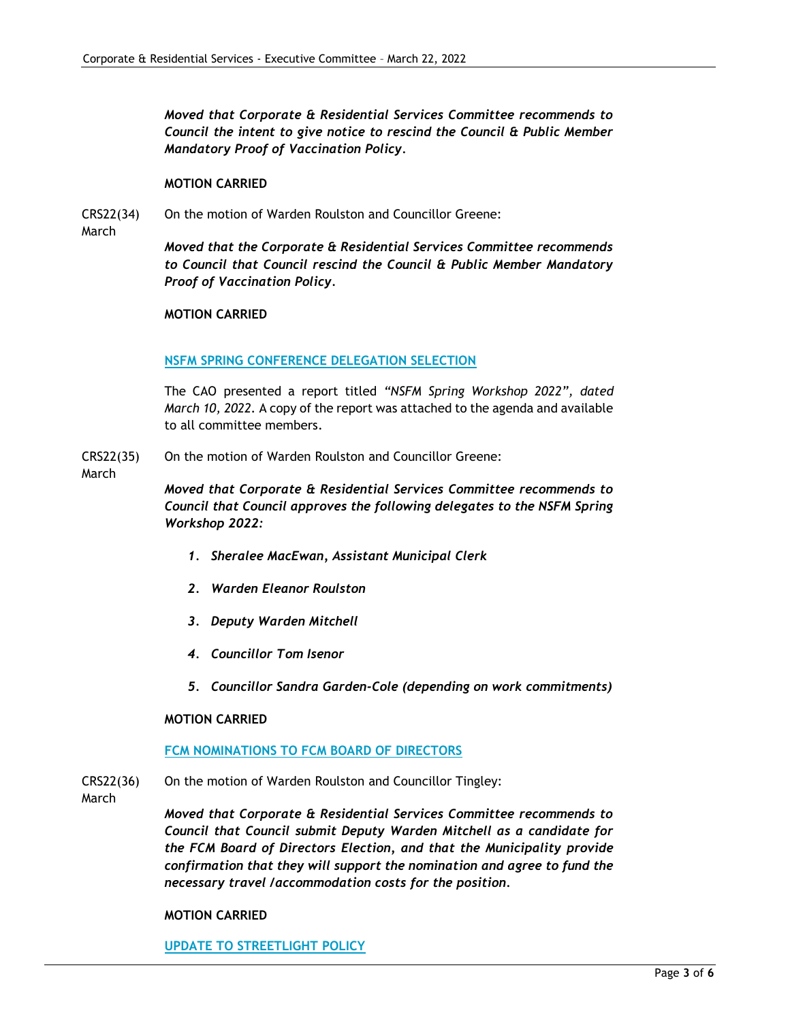*Moved that Corporate & Residential Services Committee recommends to Council the intent to give notice to rescind the Council & Public Member Mandatory Proof of Vaccination Policy.*

#### **MOTION CARRIED**

CRS22(34) On the motion of Warden Roulston and Councillor Greene:

March

*Moved that the Corporate & Residential Services Committee recommends to Council that Council rescind the Council & Public Member Mandatory Proof of Vaccination Policy.* 

#### **MOTION CARRIED**

#### **NSFM SPRING CONFERENCE DELEGATION SELECTION**

The CAO presented a report titled *"NSFM Spring Workshop 2022", dated March 10, 2022.* A copy of the report was attached to the agenda and available to all committee members.

- CRS22(35) On the motion of Warden Roulston and Councillor Greene:
- March

*Moved that Corporate & Residential Services Committee recommends to Council that Council approves the following delegates to the NSFM Spring Workshop 2022:*

- *1. Sheralee MacEwan, Assistant Municipal Clerk*
- *2. Warden Eleanor Roulston*
- *3. Deputy Warden Mitchell*
- *4. Councillor Tom Isenor*
- *5. Councillor Sandra Garden-Cole (depending on work commitments)*

#### **MOTION CARRIED**

### **FCM NOMINATIONS TO FCM BOARD OF DIRECTORS**

- CRS22(36) On the motion of Warden Roulston and Councillor Tingley:
- March

*Moved that Corporate & Residential Services Committee recommends to Council that Council submit Deputy Warden Mitchell as a candidate for the FCM Board of Directors Election, and that the Municipality provide confirmation that they will support the nomination and agree to fund the necessary travel /accommodation costs for the position.*

#### **MOTION CARRIED**

**UPDATE TO STREETLIGHT POLICY**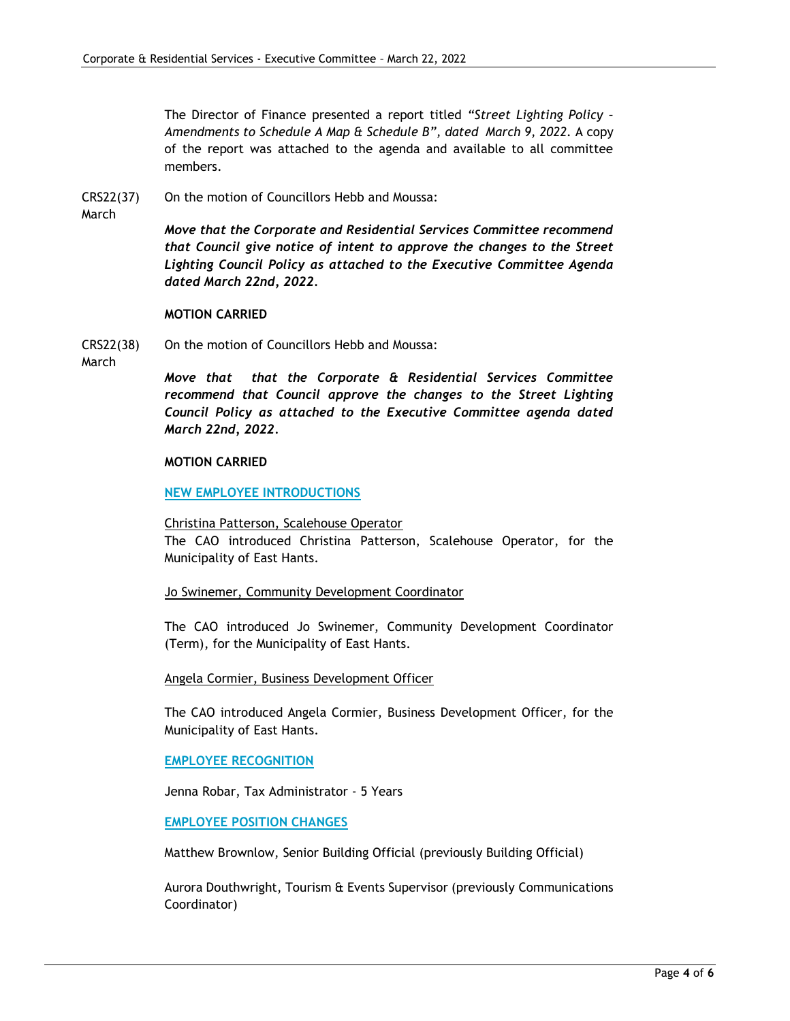The Director of Finance presented a report titled *"Street Lighting Policy – Amendments to Schedule A Map & Schedule B", dated March 9, 2022.* A copy of the report was attached to the agenda and available to all committee members.

- CRS22(37) On the motion of Councillors Hebb and Moussa:
- March

*Move that the Corporate and Residential Services Committee recommend that Council give notice of intent to approve the changes to the Street Lighting Council Policy as attached to the Executive Committee Agenda dated March 22nd, 2022.*

### **MOTION CARRIED**

CRS22(38) On the motion of Councillors Hebb and Moussa:

March

*Move that that the Corporate & Residential Services Committee recommend that Council approve the changes to the Street Lighting Council Policy as attached to the Executive Committee agenda dated March 22nd, 2022.*

### **MOTION CARRIED**

### **NEW EMPLOYEE INTRODUCTIONS**

Christina Patterson, Scalehouse Operator

The CAO introduced Christina Patterson, Scalehouse Operator, for the Municipality of East Hants.

Jo Swinemer, Community Development Coordinator

The CAO introduced Jo Swinemer, Community Development Coordinator (Term), for the Municipality of East Hants.

Angela Cormier, Business Development Officer

The CAO introduced Angela Cormier, Business Development Officer, for the Municipality of East Hants.

#### **EMPLOYEE RECOGNITION**

Jenna Robar, Tax Administrator - 5 Years

# **EMPLOYEE POSITION CHANGES**

Matthew Brownlow, Senior Building Official (previously Building Official)

Aurora Douthwright, Tourism & Events Supervisor (previously Communications Coordinator)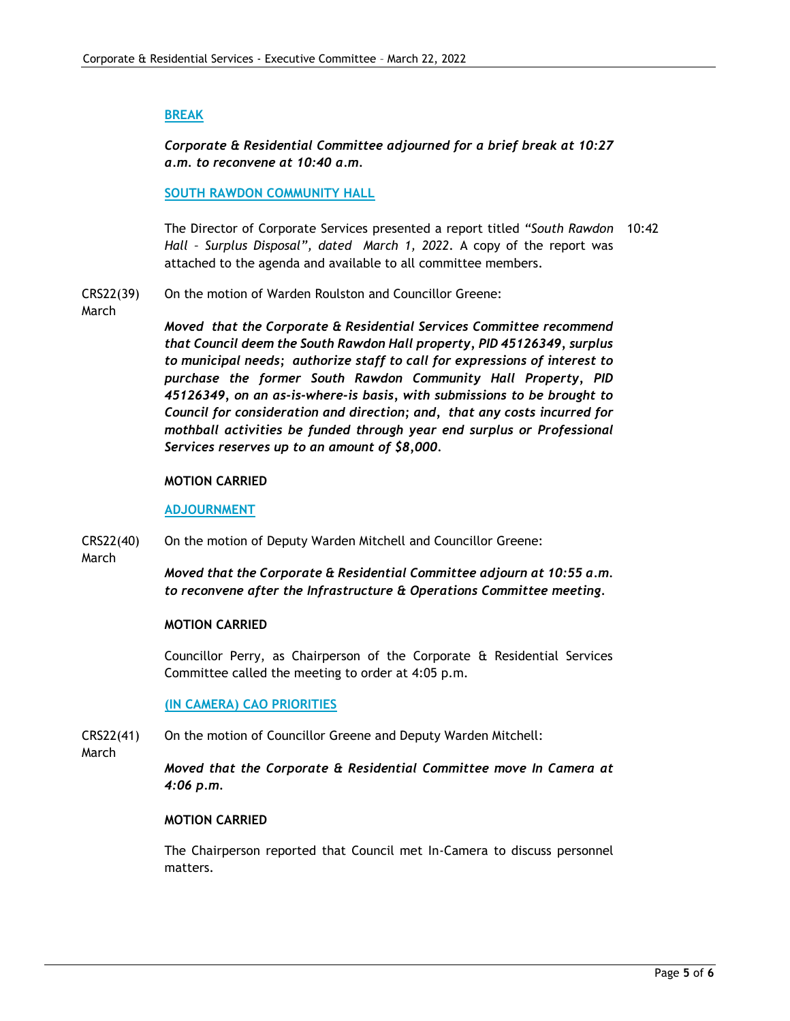### **BREAK**

*Corporate & Residential Committee adjourned for a brief break at 10:27 a.m. to reconvene at 10:40 a.m.*

#### **SOUTH RAWDON COMMUNITY HALL**

The Director of Corporate Services presented a report titled *"South Rawdon*  10:42 *Hall – Surplus Disposal", dated March 1, 2022.* A copy of the report was attached to the agenda and available to all committee members.

CRS22(39) On the motion of Warden Roulston and Councillor Greene:

March

*Moved that the Corporate & Residential Services Committee recommend that Council deem the South Rawdon Hall property, PID 45126349, surplus to municipal needs; authorize staff to call for expressions of interest to purchase the former South Rawdon Community Hall Property, PID 45126349, on an as-is-where-is basis, with submissions to be brought to Council for consideration and direction; and, that any costs incurred for mothball activities be funded through year end surplus or Professional Services reserves up to an amount of \$8,000.*

#### **MOTION CARRIED**

#### **ADJOURNMENT**

CRS22(40) On the motion of Deputy Warden Mitchell and Councillor Greene:

March

*Moved that the Corporate & Residential Committee adjourn at 10:55 a.m. to reconvene after the Infrastructure & Operations Committee meeting.*

#### **MOTION CARRIED**

Councillor Perry, as Chairperson of the Corporate & Residential Services Committee called the meeting to order at 4:05 p.m.

#### **(IN CAMERA) CAO PRIORITIES**

- CRS22(41) On the motion of Councillor Greene and Deputy Warden Mitchell:
- March

*Moved that the Corporate & Residential Committee move In Camera at 4:06 p.m.*

#### **MOTION CARRIED**

The Chairperson reported that Council met In-Camera to discuss personnel matters.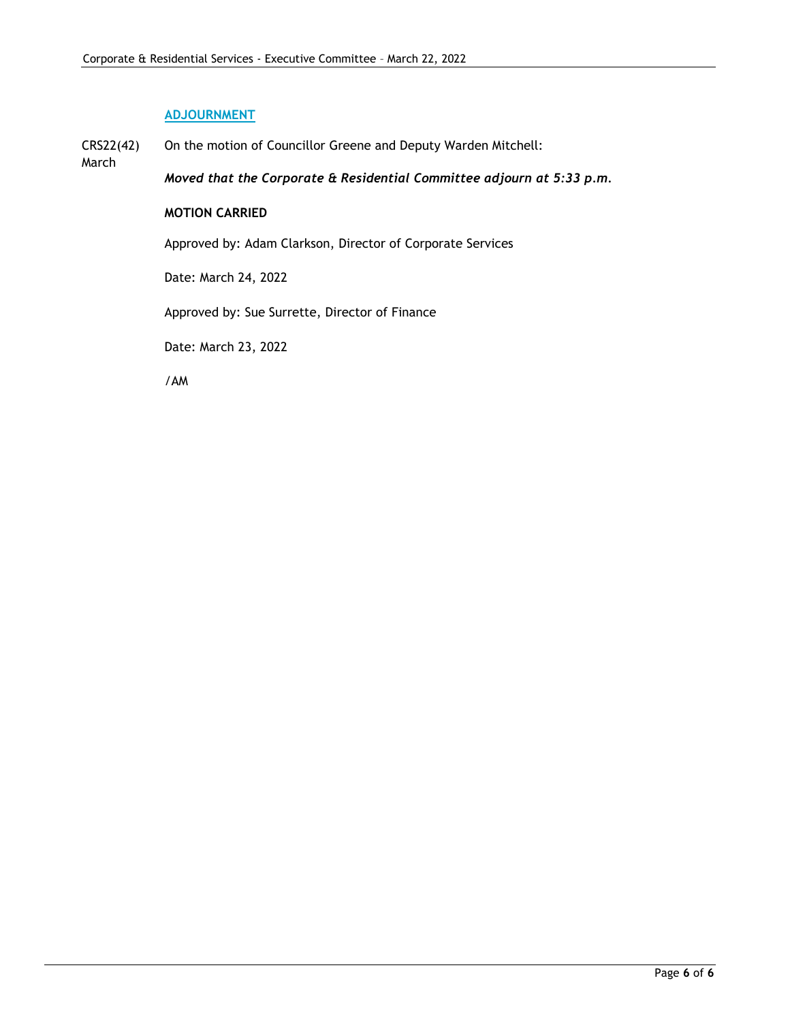# **ADJOURNMENT**

March

CRS22(42) On the motion of Councillor Greene and Deputy Warden Mitchell:

*Moved that the Corporate & Residential Committee adjourn at 5:33 p.m.*

# **MOTION CARRIED**

Approved by: Adam Clarkson, Director of Corporate Services

Date: March 24, 2022

Approved by: Sue Surrette, Director of Finance

Date: March 23, 2022

/AM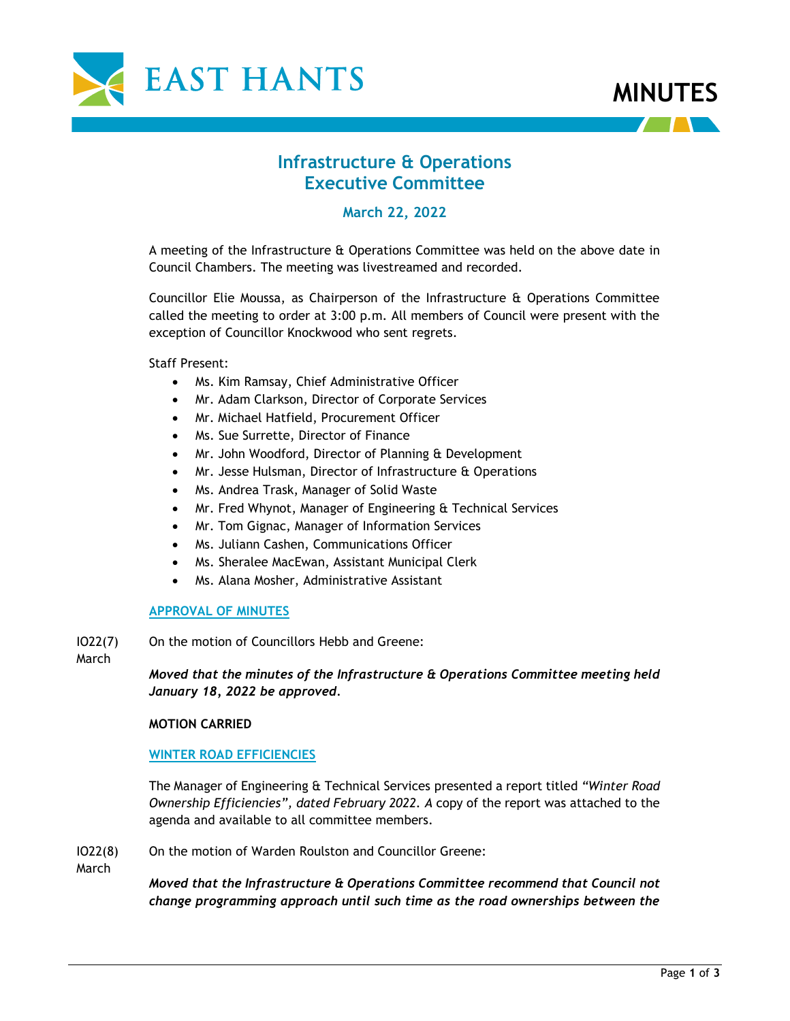



# **Infrastructure & Operations Executive Committee**

# **March 22, 2022**

A meeting of the Infrastructure & Operations Committee was held on the above date in Council Chambers. The meeting was livestreamed and recorded.

Councillor Elie Moussa, as Chairperson of the Infrastructure & Operations Committee called the meeting to order at 3:00 p.m. All members of Council were present with the exception of Councillor Knockwood who sent regrets.

Staff Present:

- Ms. Kim Ramsay, Chief Administrative Officer
- Mr. Adam Clarkson, Director of Corporate Services
- Mr. Michael Hatfield, Procurement Officer
- Ms. Sue Surrette, Director of Finance
- Mr. John Woodford, Director of Planning & Development
- Mr. Jesse Hulsman, Director of Infrastructure & Operations
- Ms. Andrea Trask, Manager of Solid Waste
- Mr. Fred Whynot, Manager of Engineering & Technical Services
- Mr. Tom Gignac, Manager of Information Services
- Ms. Juliann Cashen, Communications Officer
- Ms. Sheralee MacEwan, Assistant Municipal Clerk
- Ms. Alana Mosher, Administrative Assistant

#### **APPROVAL OF MINUTES**

IO22(7) On the motion of Councillors Hebb and Greene:

**March** 

*Moved that the minutes of the Infrastructure & Operations Committee meeting held January 18, 2022 be approved.*

#### **MOTION CARRIED**

#### **WINTER ROAD EFFICIENCIES**

The Manager of Engineering & Technical Services presented a report titled *"Winter Road Ownership Efficiencies", dated February 2022. A* copy of the report was attached to the agenda and available to all committee members.

IO22(8) On the motion of Warden Roulston and Councillor Greene:

March

*Moved that the Infrastructure & Operations Committee recommend that Council not change programming approach until such time as the road ownerships between the*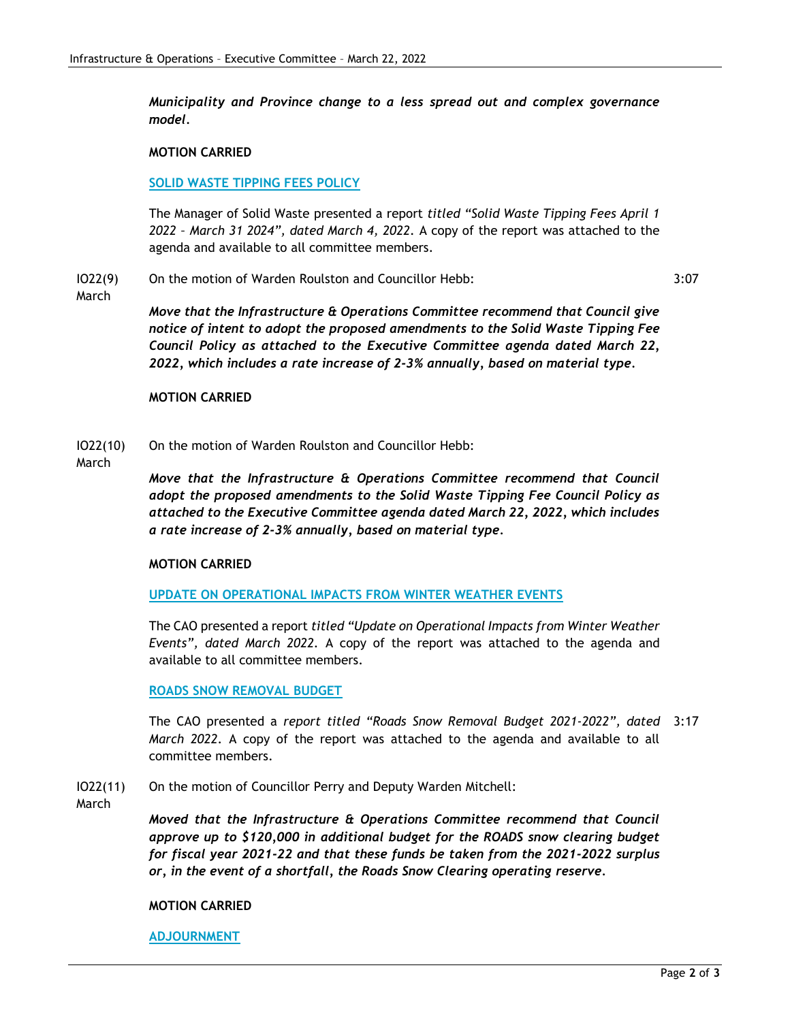*Municipality and Province change to a less spread out and complex governance model.*

#### **MOTION CARRIED**

#### **SOLID WASTE TIPPING FEES POLICY**

The Manager of Solid Waste presented a report *titled "Solid Waste Tipping Fees April 1 2022 – March 31 2024", dated March 4, 2022.* A copy of the report was attached to the agenda and available to all committee members.

#### IO22(9) On the motion of Warden Roulston and Councillor Hebb:

3:07

March

*Move that the Infrastructure & Operations Committee recommend that Council give notice of intent to adopt the proposed amendments to the Solid Waste Tipping Fee Council Policy as attached to the Executive Committee agenda dated March 22, 2022, which includes a rate increase of 2-3% annually, based on material type.*

#### **MOTION CARRIED**

IO22(10) On the motion of Warden Roulston and Councillor Hebb:

March

*Move that the Infrastructure & Operations Committee recommend that Council adopt the proposed amendments to the Solid Waste Tipping Fee Council Policy as attached to the Executive Committee agenda dated March 22, 2022, which includes a rate increase of 2-3% annually, based on material type.*

#### **MOTION CARRIED**

**UPDATE ON OPERATIONAL IMPACTS FROM WINTER WEATHER EVENTS**

The CAO presented a report *titled "Update on Operational Impacts from Winter Weather Events", dated March 2022.* A copy of the report was attached to the agenda and available to all committee members.

#### **ROADS SNOW REMOVAL BUDGET**

The CAO presented a *report titled "Roads Snow Removal Budget 2021-2022", dated*  3:17 *March 2022.* A copy of the report was attached to the agenda and available to all committee members.

IO22(11) On the motion of Councillor Perry and Deputy Warden Mitchell:

March

*Moved that the Infrastructure & Operations Committee recommend that Council approve up to \$120,000 in additional budget for the ROADS snow clearing budget for fiscal year 2021-22 and that these funds be taken from the 2021-2022 surplus or, in the event of a shortfall, the Roads Snow Clearing operating reserve.*

#### **MOTION CARRIED**

**ADJOURNMENT**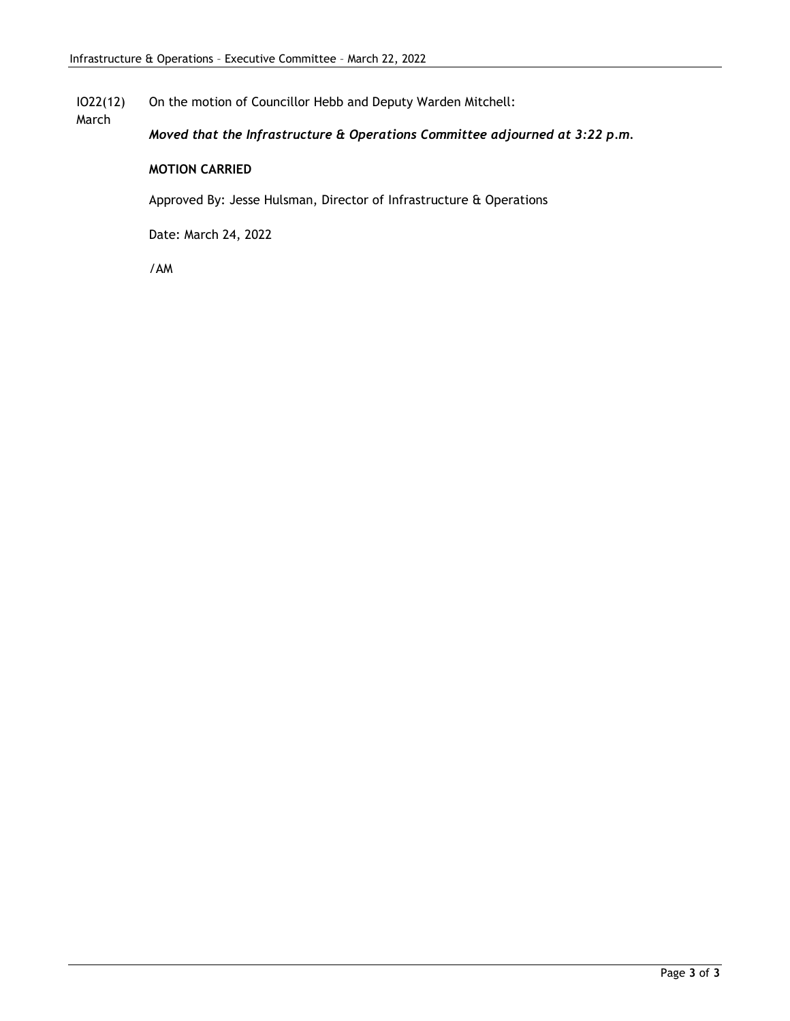IO22(12) On the motion of Councillor Hebb and Deputy Warden Mitchell:

*Moved that the Infrastructure & Operations Committee adjourned at 3:22 p.m.*

#### **MOTION CARRIED**

Approved By: Jesse Hulsman, Director of Infrastructure & Operations

Date: March 24, 2022

/AM

March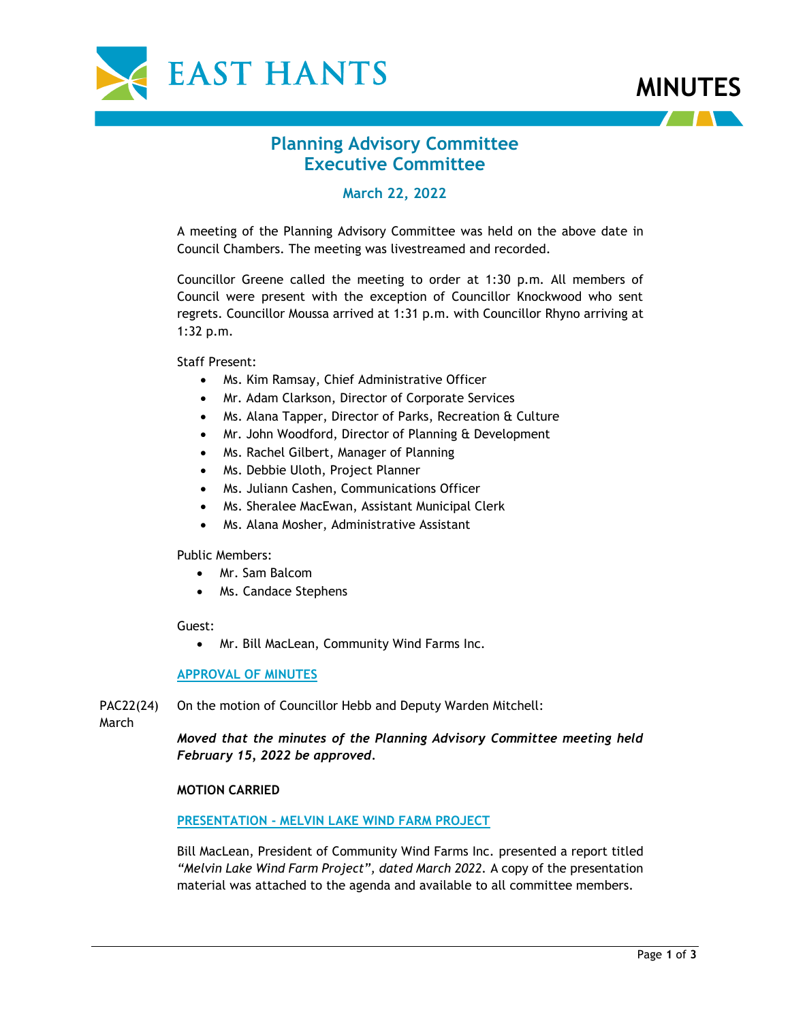



# **Planning Advisory Committee Executive Committee**

# **March 22, 2022**

A meeting of the Planning Advisory Committee was held on the above date in Council Chambers. The meeting was livestreamed and recorded.

Councillor Greene called the meeting to order at 1:30 p.m. All members of Council were present with the exception of Councillor Knockwood who sent regrets. Councillor Moussa arrived at 1:31 p.m. with Councillor Rhyno arriving at 1:32 p.m.

Staff Present:

- Ms. Kim Ramsay, Chief Administrative Officer
- Mr. Adam Clarkson, Director of Corporate Services
- Ms. Alana Tapper, Director of Parks, Recreation & Culture
- Mr. John Woodford, Director of Planning & Development
- Ms. Rachel Gilbert, Manager of Planning
- Ms. Debbie Uloth, Project Planner
- Ms. Juliann Cashen, Communications Officer
- Ms. Sheralee MacEwan, Assistant Municipal Clerk
- Ms. Alana Mosher, Administrative Assistant

Public Members:

- Mr. Sam Balcom
- Ms. Candace Stephens

#### Guest:

• Mr. Bill MacLean, Community Wind Farms Inc.

#### **APPROVAL OF MINUTES**

PAC22(24) On the motion of Councillor Hebb and Deputy Warden Mitchell:

**March** 

*Moved that the minutes of the Planning Advisory Committee meeting held February 15, 2022 be approved.*

#### **MOTION CARRIED**

#### **PRESENTATION - MELVIN LAKE WIND FARM PROJECT**

Bill MacLean, President of Community Wind Farms Inc. presented a report titled *"Melvin Lake Wind Farm Project", dated March 2022.* A copy of the presentation material was attached to the agenda and available to all committee members.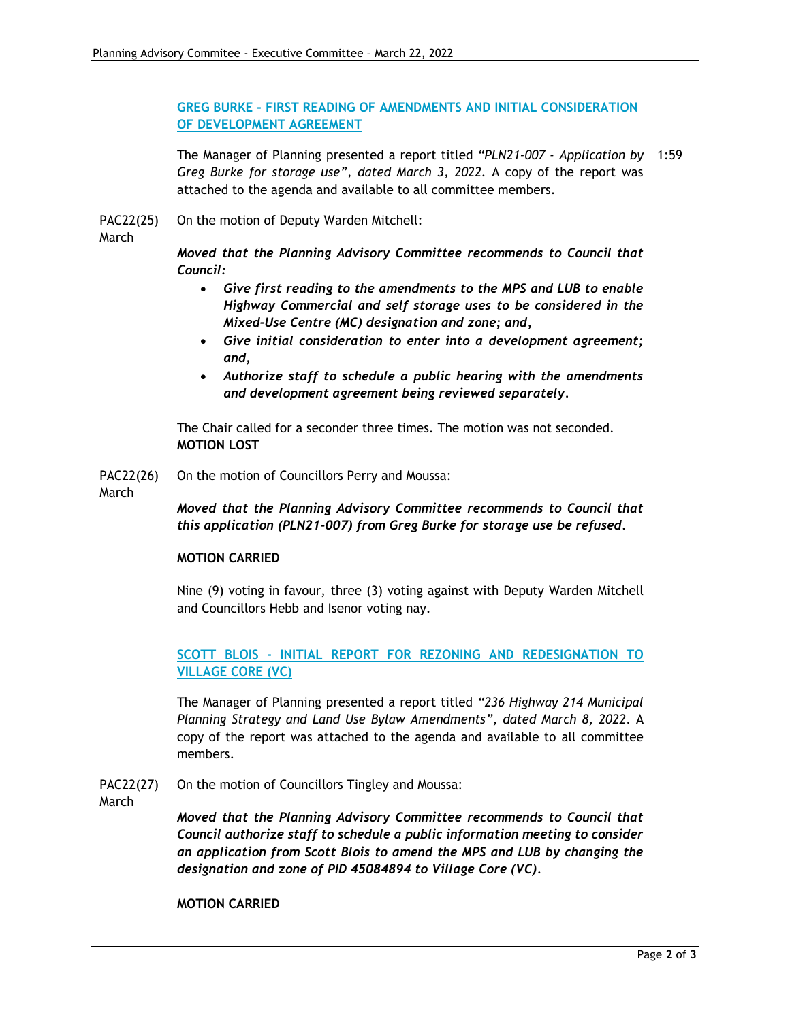**GREG BURKE - FIRST READING OF AMENDMENTS AND INITIAL CONSIDERATION OF DEVELOPMENT AGREEMENT**

The Manager of Planning presented a report titled *"PLN21-007 - Application by*  1:59 *Greg Burke for storage use", dated March 3, 2022.* A copy of the report was attached to the agenda and available to all committee members.

PAC22(25) On the motion of Deputy Warden Mitchell:

March

*Moved that the Planning Advisory Committee recommends to Council that Council:*

- *Give first reading to the amendments to the MPS and LUB to enable Highway Commercial and self storage uses to be considered in the Mixed-Use Centre (MC) designation and zone; and,*
- *Give initial consideration to enter into a development agreement; and,*
- *Authorize staff to schedule a public hearing with the amendments and development agreement being reviewed separately.*

The Chair called for a seconder three times. The motion was not seconded. **MOTION LOST**

PAC22(26) On the motion of Councillors Perry and Moussa:

March

*Moved that the Planning Advisory Committee recommends to Council that this application (PLN21-007) from Greg Burke for storage use be refused.*

#### **MOTION CARRIED**

Nine (9) voting in favour, three (3) voting against with Deputy Warden Mitchell and Councillors Hebb and Isenor voting nay.

**SCOTT BLOIS - INITIAL REPORT FOR REZONING AND REDESIGNATION TO VILLAGE CORE (VC)**

The Manager of Planning presented a report titled *"236 Highway 214 Municipal Planning Strategy and Land Use Bylaw Amendments", dated March 8, 2022*. A copy of the report was attached to the agenda and available to all committee members.

PAC22(27) On the motion of Councillors Tingley and Moussa:

**March** 

*Moved that the Planning Advisory Committee recommends to Council that Council authorize staff to schedule a public information meeting to consider an application from Scott Blois to amend the MPS and LUB by changing the designation and zone of PID 45084894 to Village Core (VC).*

**MOTION CARRIED**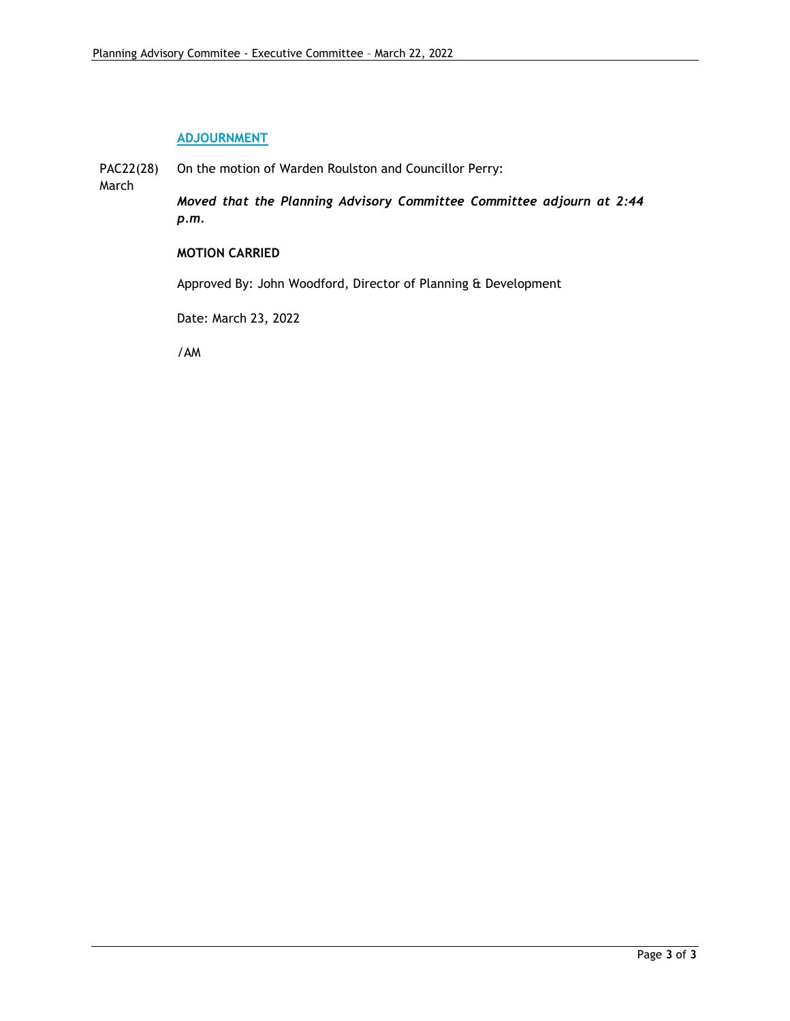# **ADJOURNMENT**

PAC22(28) March On the motion of Warden Roulston and Councillor Perry: *Moved that the Planning Advisory Committee Committee adjourn at 2:44 p.m.*

#### **MOTION CARRIED**

Approved By: John Woodford, Director of Planning & Development

Date: March 23, 2022

/AM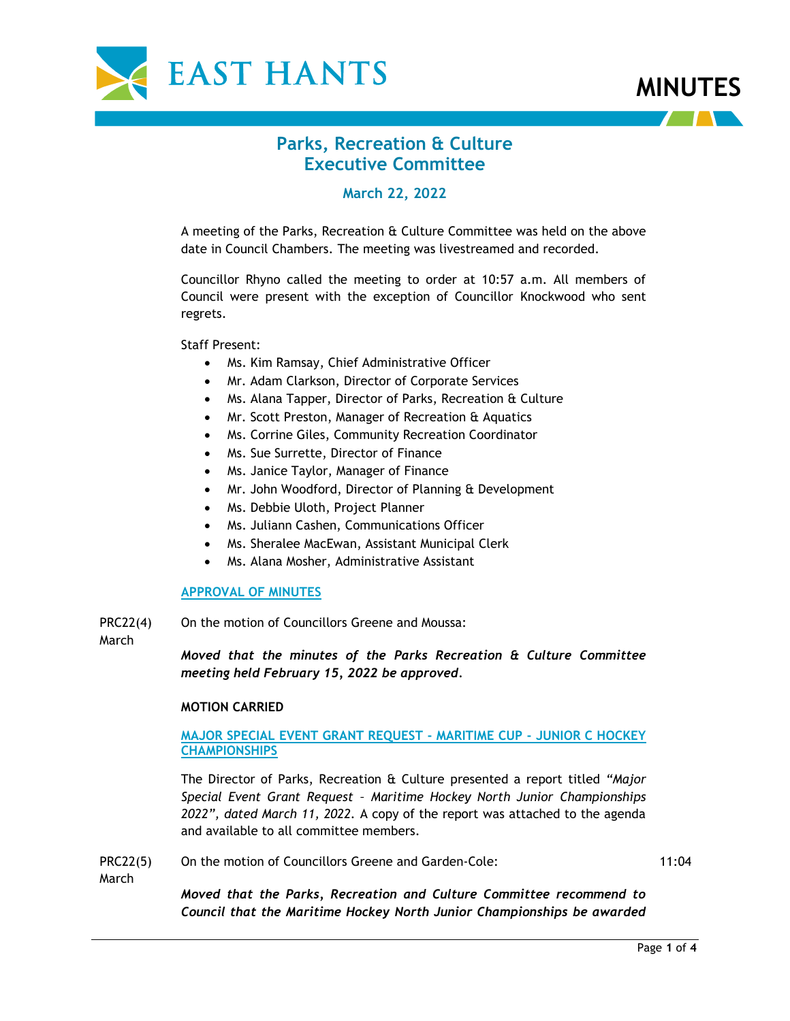



# **Parks, Recreation & Culture Executive Committee**

# **March 22, 2022**

A meeting of the Parks, Recreation & Culture Committee was held on the above date in Council Chambers. The meeting was livestreamed and recorded.

Councillor Rhyno called the meeting to order at 10:57 a.m. All members of Council were present with the exception of Councillor Knockwood who sent regrets.

Staff Present:

- Ms. Kim Ramsay, Chief Administrative Officer
- Mr. Adam Clarkson, Director of Corporate Services
- Ms. Alana Tapper, Director of Parks, Recreation & Culture
- Mr. Scott Preston, Manager of Recreation & Aquatics
- Ms. Corrine Giles, Community Recreation Coordinator
- Ms. Sue Surrette, Director of Finance
- Ms. Janice Taylor, Manager of Finance
- Mr. John Woodford, Director of Planning & Development
- Ms. Debbie Uloth, Project Planner
- Ms. Juliann Cashen, Communications Officer
- Ms. Sheralee MacEwan, Assistant Municipal Clerk
- Ms. Alana Mosher, Administrative Assistant

#### **APPROVAL OF MINUTES**

PRC22(4) On the motion of Councillors Greene and Moussa:

**March** 

*Moved that the minutes of the Parks Recreation & Culture Committee meeting held February 15, 2022 be approved.*

#### **MOTION CARRIED**

### **MAJOR SPECIAL EVENT GRANT REQUEST - MARITIME CUP - JUNIOR C HOCKEY CHAMPIONSHIPS**

The Director of Parks, Recreation & Culture presented a report titled *"Major Special Event Grant Request – Maritime Hockey North Junior Championships 2022", dated March 11, 2022.* A copy of the report was attached to the agenda and available to all committee members.

PRC22(5) On the motion of Councillors Greene and Garden-Cole: 11:04

March

*Moved that the Parks, Recreation and Culture Committee recommend to Council that the Maritime Hockey North Junior Championships be awarded*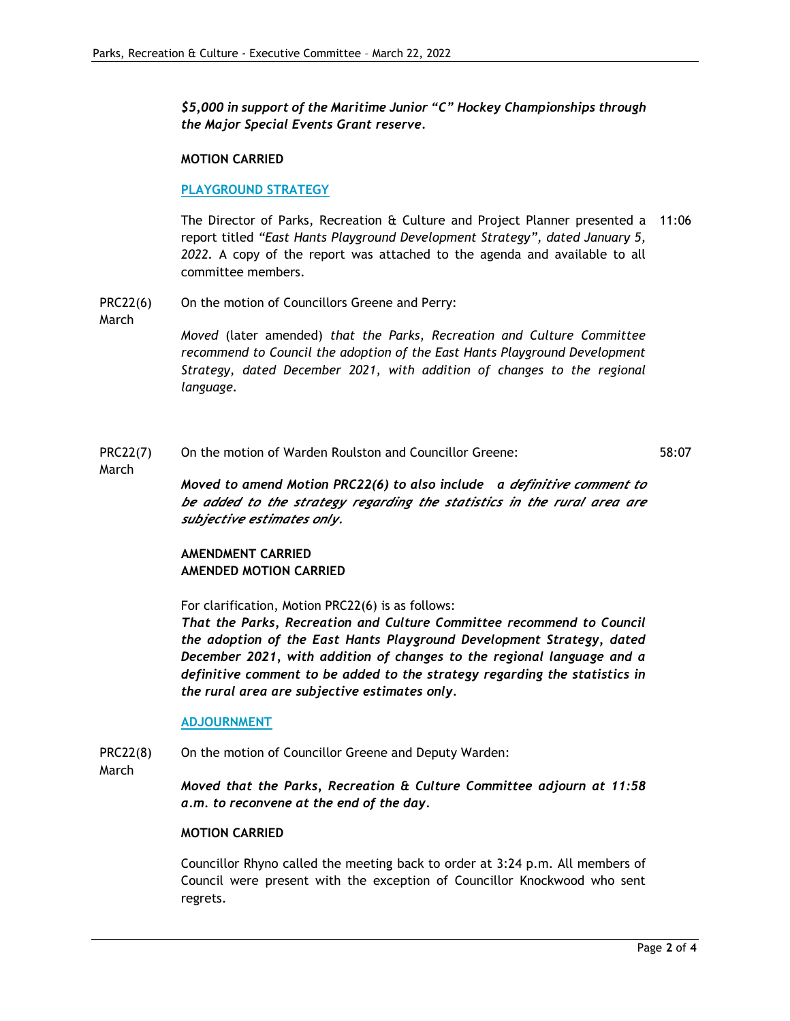*\$5,000 in support of the Maritime Junior "C" Hockey Championships through the Major Special Events Grant reserve.*

#### **MOTION CARRIED**

#### **PLAYGROUND STRATEGY**

The Director of Parks, Recreation & Culture and Project Planner presented a 11:06 report titled *"East Hants Playground Development Strategy", dated January 5, 2022.* A copy of the report was attached to the agenda and available to all committee members.

PRC22(6) On the motion of Councillors Greene and Perry:

March

*Moved* (later amended) *that the Parks, Recreation and Culture Committee recommend to Council the adoption of the East Hants Playground Development Strategy, dated December 2021, with addition of changes to the regional language.*

PRC22(7) On the motion of Warden Roulston and Councillor Greene: 58:07

March

*Moved to amend Motion PRC22(6) to also include a definitive comment to be added to the strategy regarding the statistics in the rural area are subjective estimates only.*

# **AMENDMENT CARRIED AMENDED MOTION CARRIED**

For clarification, Motion PRC22(6) is as follows:

*That the Parks, Recreation and Culture Committee recommend to Council the adoption of the East Hants Playground Development Strategy, dated December 2021, with addition of changes to the regional language and a definitive comment to be added to the strategy regarding the statistics in the rural area are subjective estimates only.*

#### **ADJOURNMENT**

PRC22(8) On the motion of Councillor Greene and Deputy Warden:

March

*Moved that the Parks, Recreation & Culture Committee adjourn at 11:58 a.m. to reconvene at the end of the day.*

#### **MOTION CARRIED**

Councillor Rhyno called the meeting back to order at 3:24 p.m. All members of Council were present with the exception of Councillor Knockwood who sent regrets.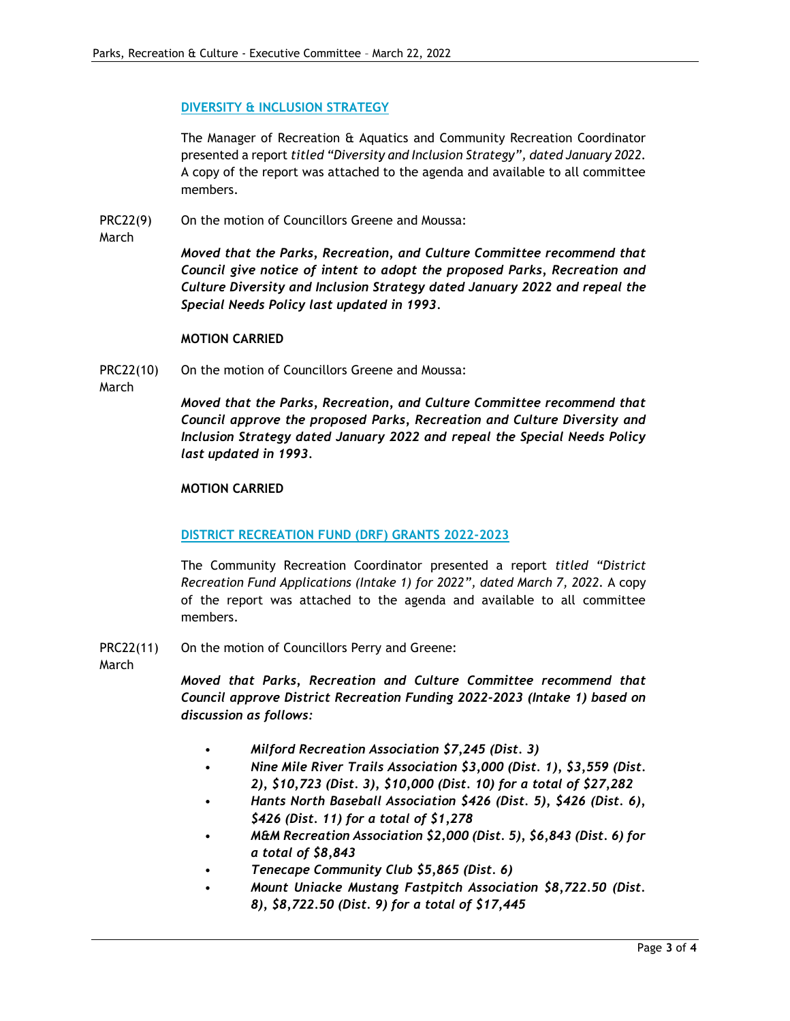#### **DIVERSITY & INCLUSION STRATEGY**

The Manager of Recreation & Aquatics and Community Recreation Coordinator presented a report *titled "Diversity and Inclusion Strategy", dated January 2022.* A copy of the report was attached to the agenda and available to all committee members.

- PRC22(9) On the motion of Councillors Greene and Moussa:
- March

*Moved that the Parks, Recreation, and Culture Committee recommend that Council give notice of intent to adopt the proposed Parks, Recreation and Culture Diversity and Inclusion Strategy dated January 2022 and repeal the Special Needs Policy last updated in 1993.*

#### **MOTION CARRIED**

PRC22(10) On the motion of Councillors Greene and Moussa:

March

*Moved that the Parks, Recreation, and Culture Committee recommend that Council approve the proposed Parks, Recreation and Culture Diversity and Inclusion Strategy dated January 2022 and repeal the Special Needs Policy last updated in 1993.*

### **MOTION CARRIED**

# **DISTRICT RECREATION FUND (DRF) GRANTS 2022-2023**

The Community Recreation Coordinator presented a report *titled "District Recreation Fund Applications (Intake 1) for 2022", dated March 7, 2022.* A copy of the report was attached to the agenda and available to all committee members.

PRC22(11) On the motion of Councillors Perry and Greene:

March

*Moved that Parks, Recreation and Culture Committee recommend that Council approve District Recreation Funding 2022-2023 (Intake 1) based on discussion as follows:*

- *Milford Recreation Association \$7,245 (Dist. 3)*
- *Nine Mile River Trails Association \$3,000 (Dist. 1), \$3,559 (Dist. 2), \$10,723 (Dist. 3), \$10,000 (Dist. 10) for a total of \$27,282*
- *Hants North Baseball Association \$426 (Dist. 5), \$426 (Dist. 6), \$426 (Dist. 11) for a total of \$1,278*
- *M&M Recreation Association \$2,000 (Dist. 5), \$6,843 (Dist. 6) for a total of \$8,843*
- *Tenecape Community Club \$5,865 (Dist. 6)*
- *Mount Uniacke Mustang Fastpitch Association \$8,722.50 (Dist. 8), \$8,722.50 (Dist. 9) for a total of \$17,445*